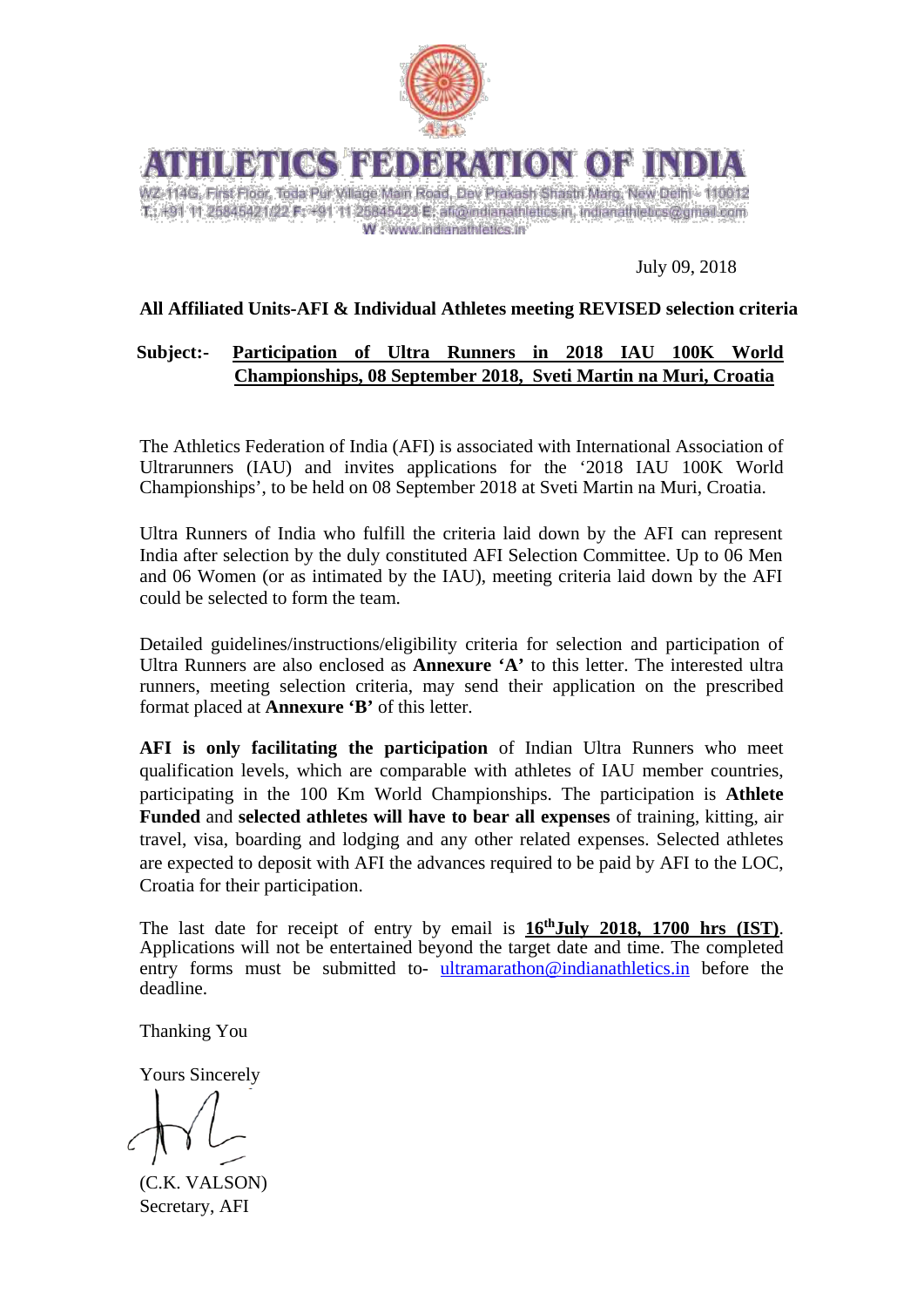

ETICS PEDERATION OF

W2-14G. First Floor, Toda Pur Village Main Road, Dev Prakash Shashi Marg. New Dolhi - 110012 T.: 491 11 25845421/22 F: +91 11 25845423 E. ali@indianathletics in, indianathletics@gmail.com W - www.indianathletics.in

July 09, 2018

# **All Affiliated Units-AFI & Individual Athletes meeting REVISED selection criteria**

# **Subject:- Participation of Ultra Runners in 2018 IAU 100K World Championships, 08 September 2018, Sveti Martin na Muri, Croatia**

The Athletics Federation of India (AFI) is associated with International Association of Ultrarunners (IAU) and invites applications for the '2018 IAU 100K World Championships', to be held on 08 September 2018 at Sveti Martin na Muri, Croatia.

Ultra Runners of India who fulfill the criteria laid down by the AFI can represent India after selection by the duly constituted AFI Selection Committee. Up to 06 Men and 06 Women (or as intimated by the IAU), meeting criteria laid down by the AFI could be selected to form the team.

Detailed guidelines/instructions/eligibility criteria for selection and participation of Ultra Runners are also enclosed as **Annexure 'A'** to this letter. The interested ultra runners, meeting selection criteria, may send their application on the prescribed format placed at **Annexure 'B'** of this letter.

**AFI is only facilitating the participation** of Indian Ultra Runners who meet qualification levels, which are comparable with athletes of IAU member countries, participating in the 100 Km World Championships. The participation is **Athlete Funded** and **selected athletes will have to bear all expenses** of training, kitting, air travel, visa, boarding and lodging and any other related expenses. Selected athletes are expected to deposit with AFI the advances required to be paid by AFI to the LOC, Croatia for their participation.

The last date for receipt of entry by email is **16thJuly 2018, 1700 hrs (IST)**. Applications will not be entertained beyond the target date and time. The completed entry forms must be submitted to- [ultramarathon@indianathletics.in](mailto:ultramarathon@indianathletics.in) before the deadline.

Thanking You

Yours Sincerely

(C.K. VALSON) Secretary, AFI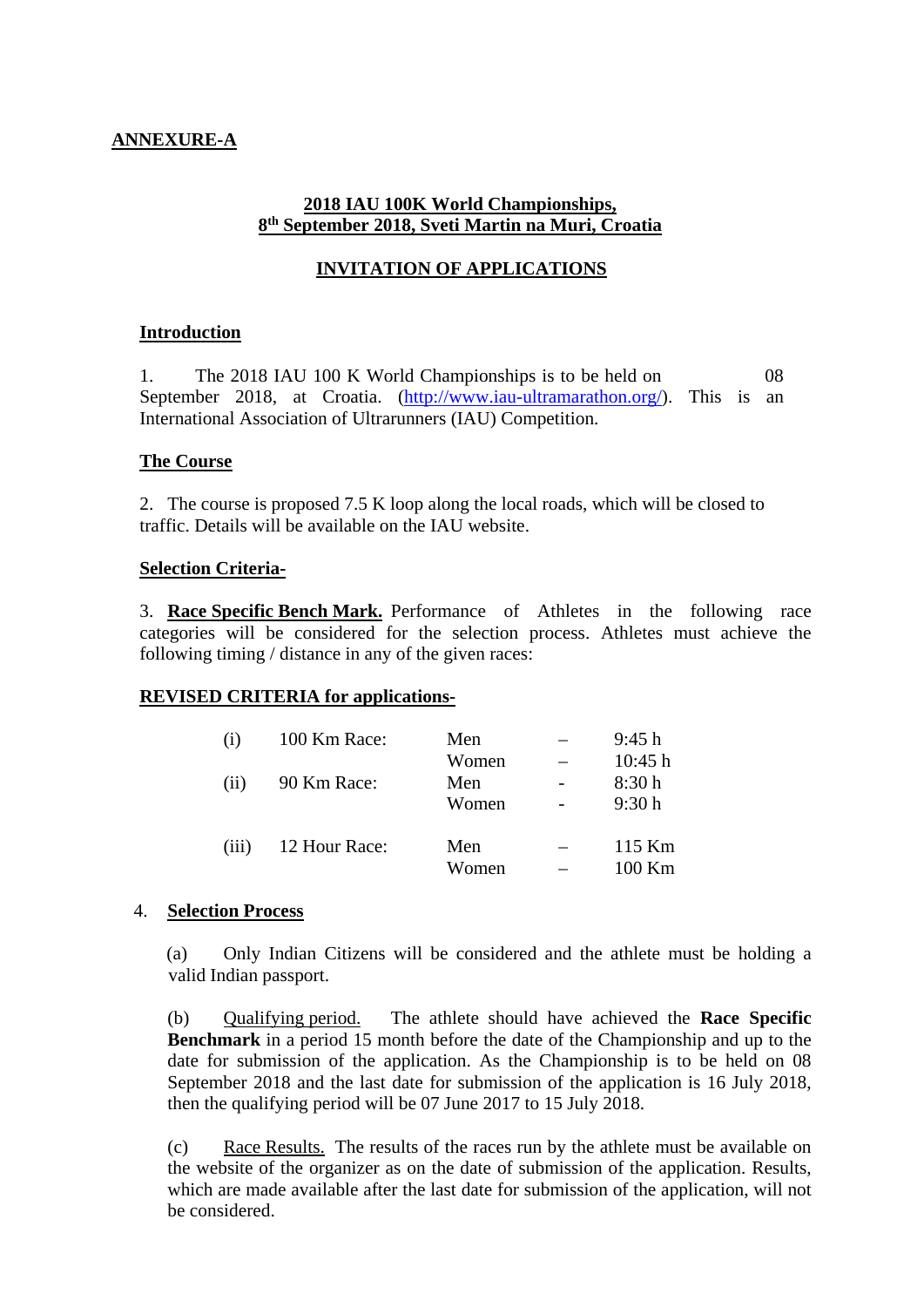## **ANNEXURE-A**

## **2018 IAU 100K World Championships, 8th September 2018, Sveti Martin na Muri, Croatia**

### **INVITATION OF APPLICATIONS**

### **Introduction**

1. The 2018 IAU 100 K World Championships is to be held on 08 September 2018, at Croatia. [\(http://www.iau-ultramarathon.org/\)](http://www.iau-ultramarathon.org/). This is an International Association of Ultrarunners (IAU) Competition.

### **The Course**

2. The course is proposed 7.5 K loop along the local roads, which will be closed to traffic. Details will be available on the IAU website.

### **Selection Criteria-**

3. **Race Specific Bench Mark.** Performance of Athletes in the following race categories will be considered for the selection process. Athletes must achieve the following timing / distance in any of the given races:

### **REVISED CRITERIA for applications-**

| (i)   | 100 Km Race:  | Men   | 9:45h   |
|-------|---------------|-------|---------|
|       |               | Women | 10:45 h |
| (i)   | 90 Km Race:   | Men   | 8:30h   |
|       |               | Women | 9:30h   |
|       |               |       |         |
| (iii) | 12 Hour Race: | Men   | 115 Km  |
|       |               | Women | 100 Km  |

### 4. **Selection Process**

(a) Only Indian Citizens will be considered and the athlete must be holding a valid Indian passport.

(b) Qualifying period. The athlete should have achieved the **Race Specific Benchmark** in a period 15 month before the date of the Championship and up to the date for submission of the application. As the Championship is to be held on 08 September 2018 and the last date for submission of the application is 16 July 2018, then the qualifying period will be 07 June 2017 to 15 July 2018.

(c) Race Results. The results of the races run by the athlete must be available on the website of the organizer as on the date of submission of the application. Results, which are made available after the last date for submission of the application, will not be considered.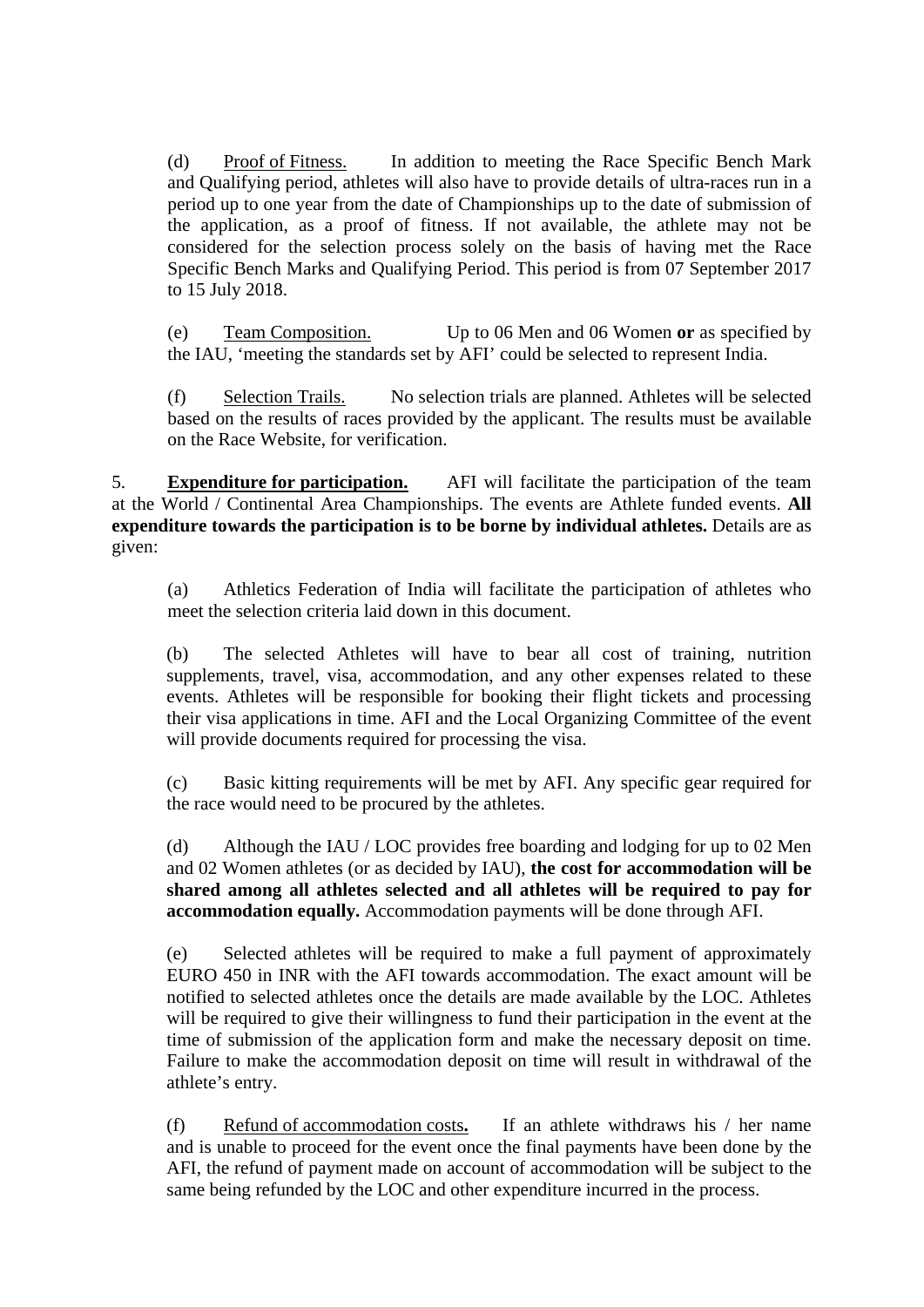(d) Proof of Fitness. In addition to meeting the Race Specific Bench Mark and Qualifying period, athletes will also have to provide details of ultra-races run in a period up to one year from the date of Championships up to the date of submission of the application, as a proof of fitness. If not available, the athlete may not be considered for the selection process solely on the basis of having met the Race Specific Bench Marks and Qualifying Period. This period is from 07 September 2017 to 15 July 2018.

(e) Team Composition. Up to 06 Men and 06 Women **or** as specified by the IAU, 'meeting the standards set by AFI' could be selected to represent India.

(f) Selection Trails. No selection trials are planned. Athletes will be selected based on the results of races provided by the applicant. The results must be available on the Race Website, for verification.

5. **Expenditure for participation.** AFI will facilitate the participation of the team at the World / Continental Area Championships. The events are Athlete funded events. **All expenditure towards the participation is to be borne by individual athletes.** Details are as given:

(a) Athletics Federation of India will facilitate the participation of athletes who meet the selection criteria laid down in this document.

(b) The selected Athletes will have to bear all cost of training, nutrition supplements, travel, visa, accommodation, and any other expenses related to these events. Athletes will be responsible for booking their flight tickets and processing their visa applications in time. AFI and the Local Organizing Committee of the event will provide documents required for processing the visa.

(c) Basic kitting requirements will be met by AFI. Any specific gear required for the race would need to be procured by the athletes.

(d) Although the IAU / LOC provides free boarding and lodging for up to 02 Men and 02 Women athletes (or as decided by IAU), **the cost for accommodation will be shared among all athletes selected and all athletes will be required to pay for accommodation equally.** Accommodation payments will be done through AFI.

(e) Selected athletes will be required to make a full payment of approximately EURO 450 in INR with the AFI towards accommodation. The exact amount will be notified to selected athletes once the details are made available by the LOC. Athletes will be required to give their willingness to fund their participation in the event at the time of submission of the application form and make the necessary deposit on time. Failure to make the accommodation deposit on time will result in withdrawal of the athlete's entry.

(f) Refund of accommodation costs**.** If an athlete withdraws his / her name and is unable to proceed for the event once the final payments have been done by the AFI, the refund of payment made on account of accommodation will be subject to the same being refunded by the LOC and other expenditure incurred in the process.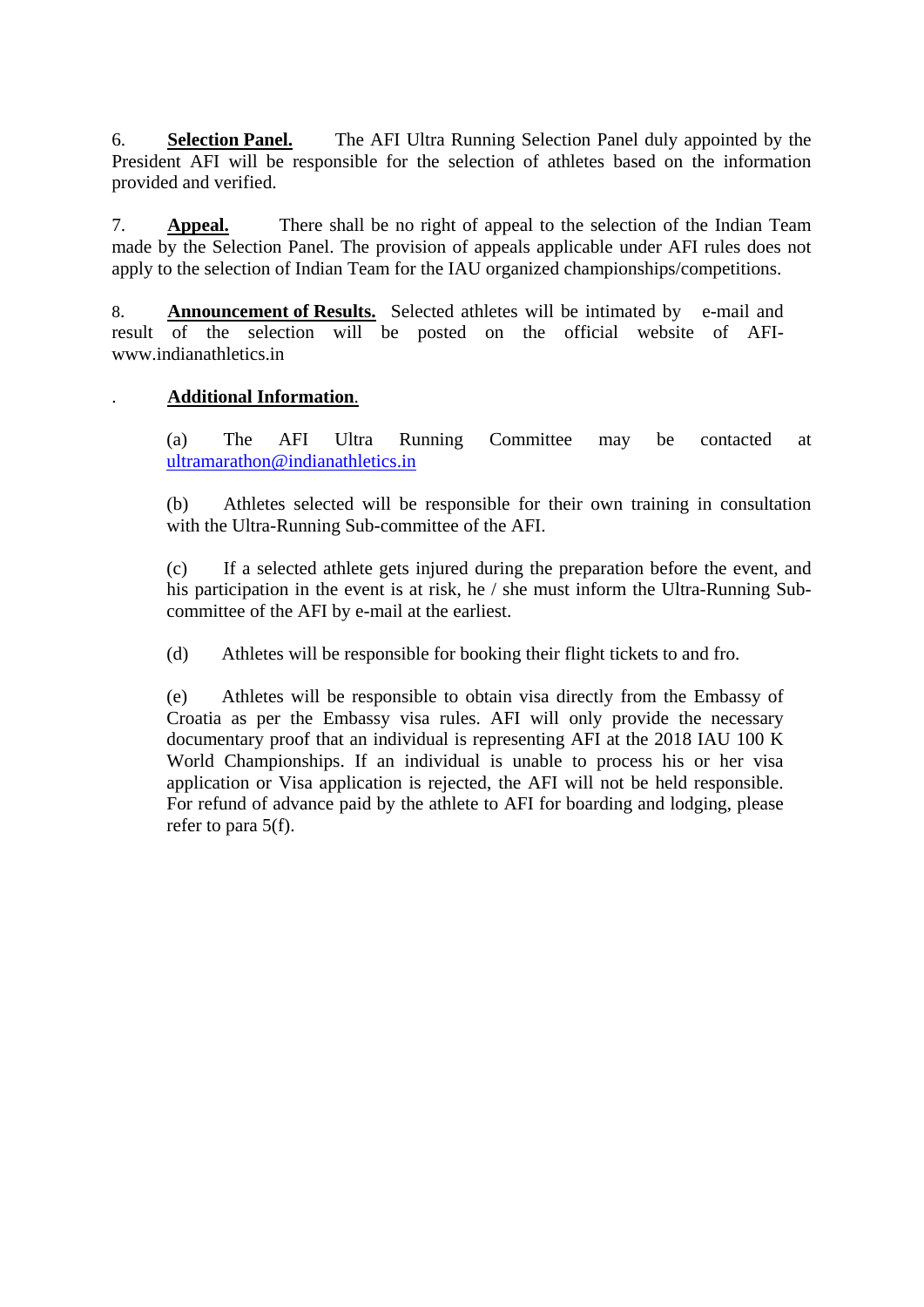6. **Selection Panel.** The AFI Ultra Running Selection Panel duly appointed by the President AFI will be responsible for the selection of athletes based on the information provided and verified.

7. **Appeal.** There shall be no right of appeal to the selection of the Indian Team made by the Selection Panel. The provision of appeals applicable under AFI rules does not apply to the selection of Indian Team for the IAU organized championships/competitions.

8. **Announcement of Results.** Selected athletes will be intimated by e-mail and result of the selection will be posted on the official website of AFIwww.indianathletics.in

## . **Additional Information**.

(a) The AFI Ultra Running Committee may be contacted at [ultramarathon@indianathletics.in](mailto:ultramarathon@indianathletics.in)

(b) Athletes selected will be responsible for their own training in consultation with the Ultra-Running Sub-committee of the AFI.

(c) If a selected athlete gets injured during the preparation before the event, and his participation in the event is at risk, he / she must inform the Ultra-Running Subcommittee of the AFI by e-mail at the earliest.

(d) Athletes will be responsible for booking their flight tickets to and fro.

(e) Athletes will be responsible to obtain visa directly from the Embassy of Croatia as per the Embassy visa rules. AFI will only provide the necessary documentary proof that an individual is representing AFI at the 2018 IAU 100 K World Championships. If an individual is unable to process his or her visa application or Visa application is rejected, the AFI will not be held responsible. For refund of advance paid by the athlete to AFI for boarding and lodging, please refer to para 5(f).